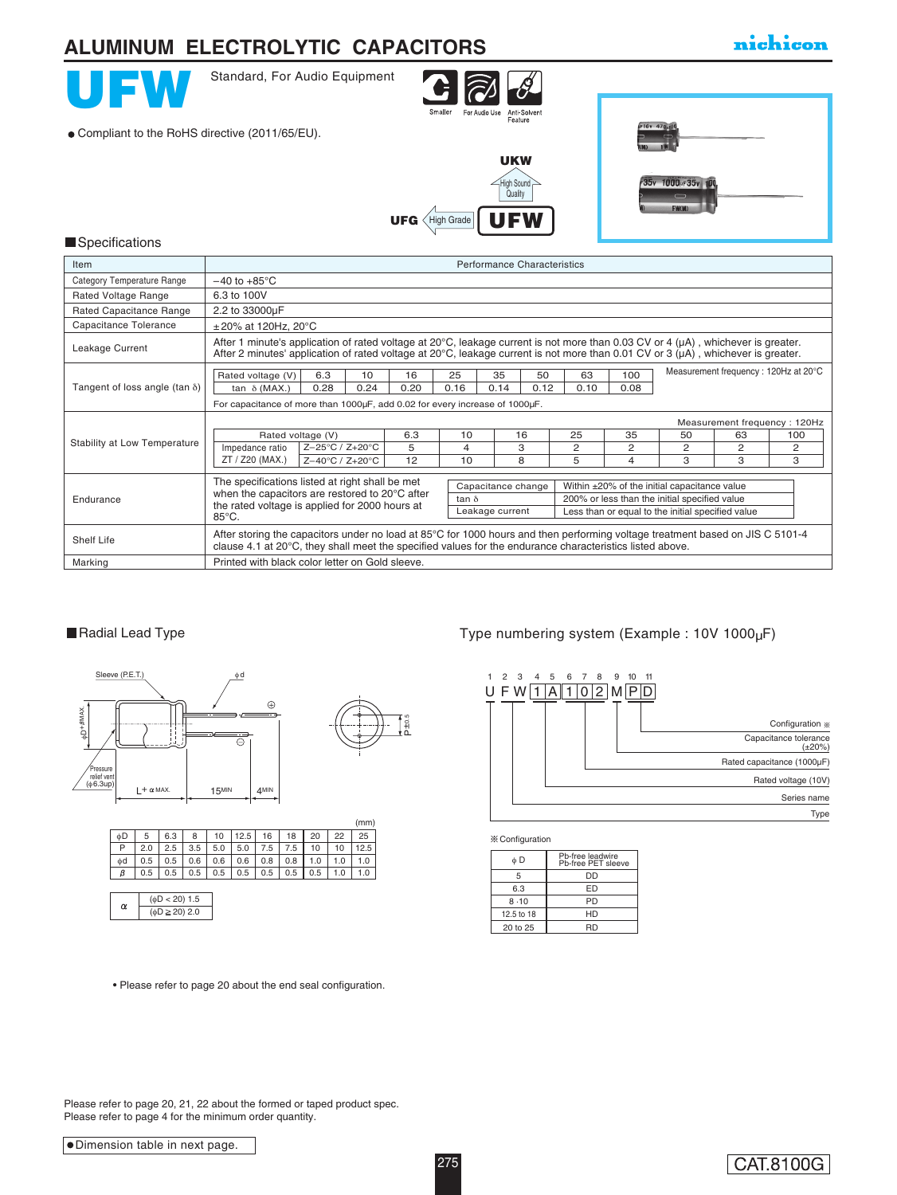### nichicon **ALUMINUM ELECTROLYTIC CAPACITORS**Standard, For Audio Equipment **IC** For Audio Use nalle Anti-Solven<br>Feature 16y 470 Compliant to the RoHS directive (2011/65/EU). UKW .<br>Iiah Soun 1000<sub>F35v</sub> 100 **Quality**  $UFG \left\langle$  High Grade  $\bigcup$  FM **Specifications Item Performance Characteristics**  $-40$  to  $+85^{\circ}$ C Category Temperature Range Rated Voltage Range 6.3 to 100V Rated Capacitance Range 2.2 to 33000µF Capacitance Tolerance ± 20% at 120Hz, 20°C After 1 minute's application of rated voltage at 20°C, leakage current is not more than 0.03 CV or 4 (μA) , whichever is greater.<br>After 2 minutes' application of rated voltage at 20°C, leakage current is not more than 0.0 Leakage Current

| Tangent of loss angle (tan $\delta$ ) | 6.3<br>10<br>Rated voltage (V)                                                                                                                                                                                                            |                                     |    | 16 | 25 | 35<br>50<br>63 |    |                                              | 100            | Measurement frequency: 120Hz at 20°C          |   |   |  |
|---------------------------------------|-------------------------------------------------------------------------------------------------------------------------------------------------------------------------------------------------------------------------------------------|-------------------------------------|----|----|----|----------------|----|----------------------------------------------|----------------|-----------------------------------------------|---|---|--|
|                                       | 0.28<br>0.24<br>0.20<br>0.16<br>0.14<br>0.12<br>0.08<br>0.10<br>tan $\delta$ (MAX.)                                                                                                                                                       |                                     |    |    |    |                |    |                                              |                |                                               |   |   |  |
|                                       | For capacitance of more than 1000uF, add 0.02 for every increase of 1000uF.                                                                                                                                                               |                                     |    |    |    |                |    |                                              |                |                                               |   |   |  |
|                                       | Measurement frequency: 120Hz                                                                                                                                                                                                              |                                     |    |    |    |                |    |                                              |                |                                               |   |   |  |
|                                       | Rated voltage (V)                                                                                                                                                                                                                         | 6.3                                 | 10 |    | 16 | 25             | 35 | 50                                           | 63             | 100                                           |   |   |  |
| Stability at Low Temperature          | Impedance ratio                                                                                                                                                                                                                           | Z-25°C / Z+20°C                     |    | 5  | 4  |                | 3  | $\overline{2}$                               | $\overline{c}$ | 2                                             | 2 | 2 |  |
|                                       | ZT / Z20 (MAX.)                                                                                                                                                                                                                           | $Z - 40^{\circ}C / Z + 20^{\circ}C$ |    | 12 | 10 |                | 8  | 5                                            | 4              | 3                                             | 3 | З |  |
|                                       | The specifications listed at right shall be met<br>Capacitance change                                                                                                                                                                     |                                     |    |    |    |                |    | Within ±20% of the initial capacitance value |                |                                               |   |   |  |
| Endurance                             | when the capacitors are restored to 20°C after                                                                                                                                                                                            |                                     |    |    |    | $tan \delta$   |    |                                              |                | 200% or less than the initial specified value |   |   |  |
|                                       | the rated voltage is applied for 2000 hours at<br>Less than or equal to the initial specified value<br>Leakage current<br>$85^{\circ}$ C.                                                                                                 |                                     |    |    |    |                |    |                                              |                |                                               |   |   |  |
| Shelf Life                            | After storing the capacitors under no load at 85°C for 1000 hours and then performing voltage treatment based on JIS C 5101-4<br>clause 4.1 at 20°C, they shall meet the specified values for the endurance characteristics listed above. |                                     |    |    |    |                |    |                                              |                |                                               |   |   |  |
| Marking                               | Printed with black color letter on Gold sleeve.                                                                                                                                                                                           |                                     |    |    |    |                |    |                                              |                |                                               |   |   |  |

P±0.5

P±0.5



|                                                              |  |  |  |  | $\sim$ $\sim$                                                        |
|--------------------------------------------------------------|--|--|--|--|----------------------------------------------------------------------|
| P   2.0   2.5   3.5   5.0   5.0   7.5   7.5   10   10   12.5 |  |  |  |  |                                                                      |
|                                                              |  |  |  |  | $\phi$ d   0.5   0.5   0.6   0.6   0.6   0.8   0.8   1.0   1.0   1.0 |
|                                                              |  |  |  |  | $\beta$ 0.5 0.5 0.5 0.5 0.5 0.5 0.5 0.5 0.5 1.0 1.0                  |
|                                                              |  |  |  |  |                                                                      |

| $(\phi D < 20)$ 1.5    |
|------------------------|
| $(\phi D \geq 20)$ 2.0 |
|                        |

• Please refer to page 20 about the end seal configuration.

### ■Radial Lead Type Type numbering system (Example : 10V 1000µF)



**X**: Configuration

| фD         | Ph-free leadwire<br>Ph-free PET sleeve |
|------------|----------------------------------------|
| 5          | DD                                     |
| 6.3        | FD                                     |
| 8.10       | <b>PD</b>                              |
| 12.5 to 18 | HD                                     |
| 20 to 25   | RN                                     |

Please refer to page 20, 21, 22 about the formed or taped product spec. Please refer to page 4 for the minimum order quantity.